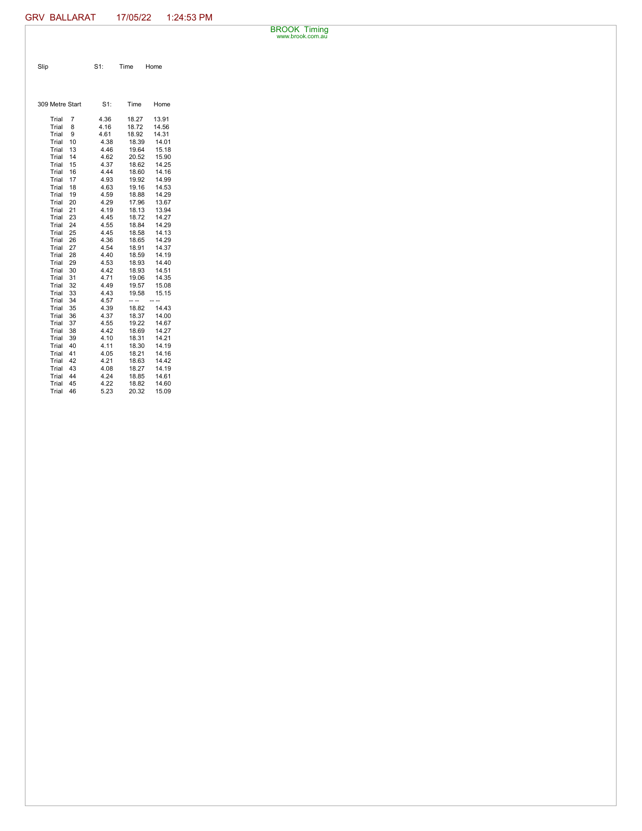BROOK Timing www.brook.com.au

| Slip | $S1$ : | Time | Home |
|------|--------|------|------|

| 309 Metre Start |    | S1:  | Time  | Home           |
|-----------------|----|------|-------|----------------|
| Trial           | 7  | 4.36 | 18.27 | 13.91          |
| Trial           | 8  | 4.16 | 18.72 | 14.56          |
| Trial           | 9  | 4.61 | 18.92 | 14.31          |
| Trial           | 10 | 4.38 | 18.39 | 14.01          |
| Trial           | 13 | 4.46 | 19.64 | 15.18          |
| Trial           | 14 | 4.62 | 20.52 | 15.90          |
| Trial           | 15 | 4.37 | 18.62 | 14.25          |
| Trial           | 16 | 4.44 | 18.60 | 14.16          |
| Trial           | 17 | 4.93 | 19.92 | 14.99          |
| Trial           | 18 | 4.63 | 19.16 | 14.53          |
| Trial           | 19 | 4.59 | 18.88 | 14.29          |
| Trial           | 20 | 4.29 | 17.96 | 13.67          |
| Trial           | 21 | 4.19 | 18.13 | 13.94          |
| Trial           | 23 | 4.45 | 18.72 | 14.27          |
| Trial           | 24 | 4.55 | 18.84 | 14.29          |
| Trial           | 25 | 4.45 | 18.58 | 14.13          |
| Trial           | 26 | 4.36 | 18.65 | 14.29          |
| Trial           | 27 | 4.54 | 18.91 | 14.37          |
| Trial           | 28 | 4.40 | 18.59 | 14.19          |
| Trial           | 29 | 4.53 | 18.93 | 14.40          |
| Trial           | 30 | 4.42 | 18.93 | 14.51          |
| Trial           | 31 | 4.71 | 19.06 | 14.35          |
| Trial           | 32 | 4.49 | 19.57 | 15.08          |
| Trial           | 33 | 4.43 | 19.58 | 15.15          |
| Trial           | 34 | 4.57 | -- -- | $\overline{a}$ |
| Trial           | 35 | 4.39 | 18.82 | 14.43          |
| Trial           | 36 | 4.37 | 18.37 | 14.00          |
| Trial           | 37 | 4.55 | 19.22 | 14.67          |
| Trial           | 38 | 4.42 | 18.69 | 14.27          |
| Trial           | 39 | 4.10 | 18.31 | 14.21          |
| Trial           | 40 | 4.11 | 18.30 | 14.19          |
| Trial           | 41 | 4.05 | 18.21 | 14.16          |
| Trial           | 42 | 4.21 | 18.63 | 14.42          |
| Trial           | 43 | 4.08 | 18.27 | 14.19          |
| Trial           | 44 | 4.24 | 18.85 | 14.61          |
| Trial           | 45 | 4.22 | 18.82 | 14.60          |
| Trial           | 46 | 5.23 | 20.32 | 15.09          |